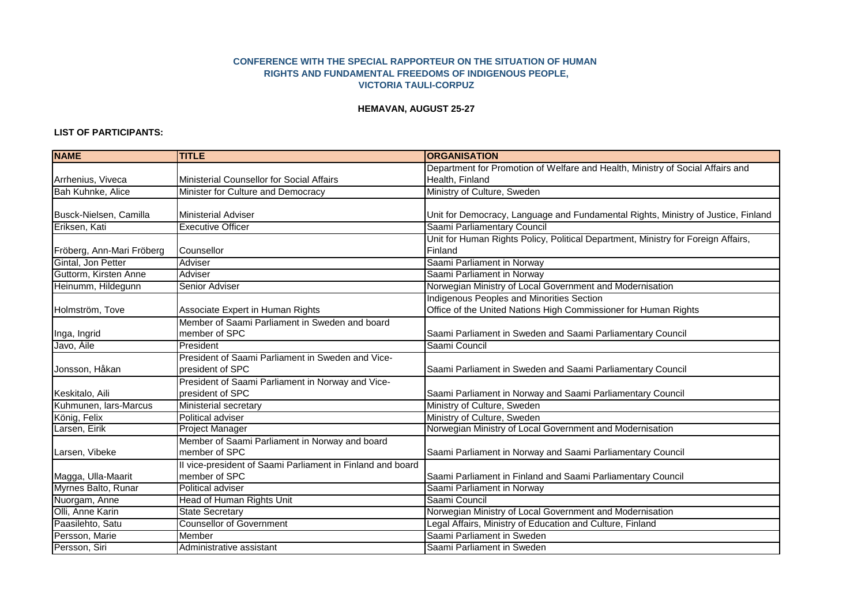## **CONFERENCE WITH THE SPECIAL RAPPORTEUR ON THE SITUATION OF HUMAN RIGHTS AND FUNDAMENTAL FREEDOMS OF INDIGENOUS PEOPLE, VICTORIA TAULI-CORPUZ**

## **HEMAVAN, AUGUST 25-27**

## **LIST OF PARTICIPANTS:**

| <b>NAME</b>               | <b>TITLE</b>                                               | <b>ORGANISATION</b>                                                               |
|---------------------------|------------------------------------------------------------|-----------------------------------------------------------------------------------|
|                           |                                                            | Department for Promotion of Welfare and Health, Ministry of Social Affairs and    |
| Arrhenius, Viveca         | Ministerial Counsellor for Social Affairs                  | Health, Finland                                                                   |
| Bah Kuhnke, Alice         | Minister for Culture and Democracy                         | Ministry of Culture, Sweden                                                       |
|                           |                                                            |                                                                                   |
| Busck-Nielsen, Camilla    | <b>Ministerial Adviser</b>                                 | Unit for Democracy, Language and Fundamental Rights, Ministry of Justice, Finland |
| Eriksen, Kati             | <b>Executive Officer</b>                                   | Saami Parliamentary Council                                                       |
|                           |                                                            | Unit for Human Rights Policy, Political Department, Ministry for Foreign Affairs, |
| Fröberg, Ann-Mari Fröberg | Counsellor                                                 | Finland                                                                           |
| Gintal, Jon Petter        | Adviser                                                    | Saami Parliament in Norway                                                        |
| Guttorm, Kirsten Anne     | Adviser                                                    | Saami Parliament in Norway                                                        |
| Heinumm, Hildegunn        | Senior Adviser                                             | Norwegian Ministry of Local Government and Modernisation                          |
|                           |                                                            | Indigenous Peoples and Minorities Section                                         |
| Holmström, Tove           | Associate Expert in Human Rights                           | Office of the United Nations High Commissioner for Human Rights                   |
|                           | Member of Saami Parliament in Sweden and board             |                                                                                   |
| Inga, Ingrid              | member of SPC                                              | Saami Parliament in Sweden and Saami Parliamentary Council                        |
| Javo, Aile                | President                                                  | Saami Council                                                                     |
|                           | President of Saami Parliament in Sweden and Vice-          |                                                                                   |
| Jonsson, Håkan            | president of SPC                                           | Saami Parliament in Sweden and Saami Parliamentary Council                        |
|                           | President of Saami Parliament in Norway and Vice-          |                                                                                   |
| Keskitalo, Aili           | president of SPC                                           | Saami Parliament in Norway and Saami Parliamentary Council                        |
| Kuhmunen, lars-Marcus     | Ministerial secretary                                      | Ministry of Culture, Sweden                                                       |
| König, Felix              | Political adviser                                          | Ministry of Culture, Sweden                                                       |
| Larsen, Eirik             | <b>Project Manager</b>                                     | Norwegian Ministry of Local Government and Modernisation                          |
|                           | Member of Saami Parliament in Norway and board             |                                                                                   |
| Larsen, Vibeke            | member of SPC                                              | Saami Parliament in Norway and Saami Parliamentary Council                        |
|                           | Il vice-president of Saami Parliament in Finland and board |                                                                                   |
| Magga, Ulla-Maarit        | member of SPC                                              | Saami Parliament in Finland and Saami Parliamentary Council                       |
| Myrnes Balto, Runar       | Political adviser                                          | Saami Parliament in Norway                                                        |
| Nuorgam, Anne             | Head of Human Rights Unit                                  | Saami Council                                                                     |
| Olli, Anne Karin          | <b>State Secretary</b>                                     | Norwegian Ministry of Local Government and Modernisation                          |
| Paasilehto, Satu          | <b>Counsellor of Government</b>                            | Legal Affairs, Ministry of Education and Culture, Finland                         |
| Persson, Marie            | Member                                                     | Saami Parliament in Sweden                                                        |
| Persson, Siri             | Administrative assistant                                   | Saami Parliament in Sweden                                                        |